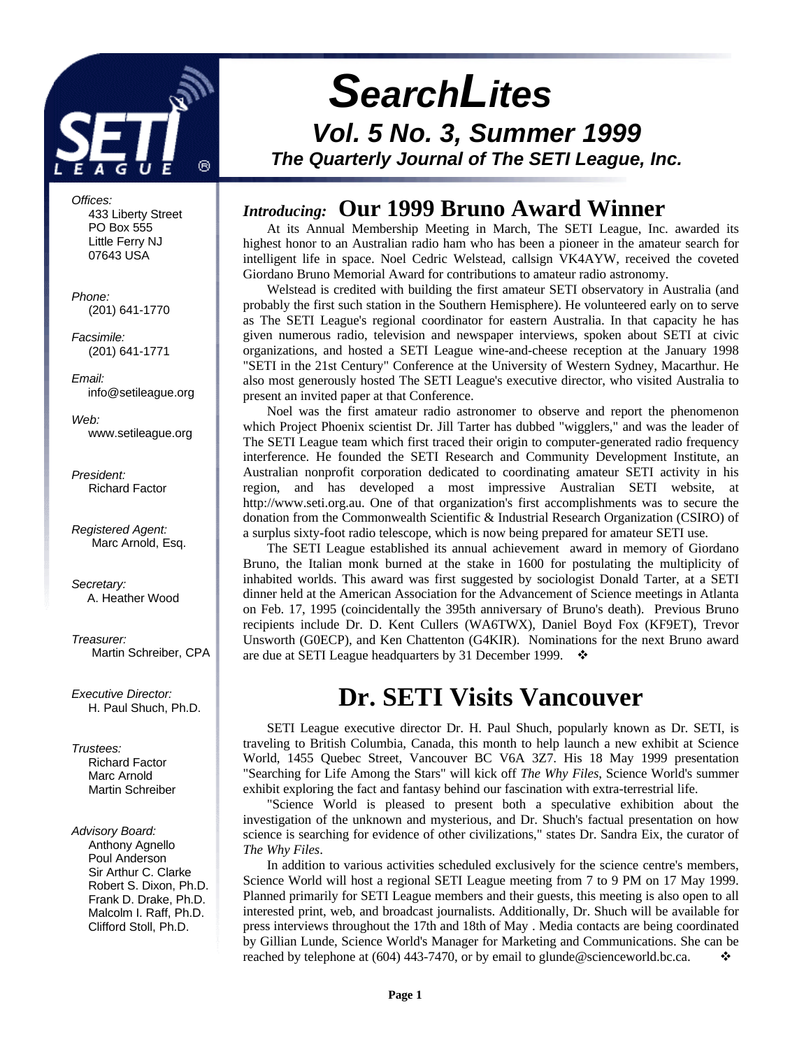

*SearchLites*

*Vol. 5 No. 3, Summer 1999 The Quarterly Journal of The SETI League, Inc.*

*Offices:* 433 Liberty Street PO Box 555 Little Ferry NJ 07643 USA

*Phone:* (201) 641-1770

*Facsimile:* (201) 641-1771

*Email:* info@setileague.org

*Web:* www.setileague.org

*President:* Richard Factor

*Registered Agent:* Marc Arnold, Esq.

*Secretary:* A. Heather Wood

*Treasurer:* Martin Schreiber, CPA

*Executive Director:* H. Paul Shuch, Ph.D.

### *Trustees:*

**Richard Factor**  Marc Arnold Martin Schreiber

## *Advisory Board:*

 Anthony Agnello Poul Anderson Sir Arthur C. Clarke Robert S. Dixon, Ph.D. Frank D. Drake, Ph.D. Malcolm I. Raff, Ph.D. Clifford Stoll, Ph.D.

# *Introducing:* **Our 1999 Bruno Award Winner**

At its Annual Membership Meeting in March, The SETI League, Inc. awarded its highest honor to an Australian radio ham who has been a pioneer in the amateur search for intelligent life in space. Noel Cedric Welstead, callsign VK4AYW, received the coveted Giordano Bruno Memorial Award for contributions to amateur radio astronomy.

Welstead is credited with building the first amateur SETI observatory in Australia (and probably the first such station in the Southern Hemisphere). He volunteered early on to serve as The SETI League's regional coordinator for eastern Australia. In that capacity he has given numerous radio, television and newspaper interviews, spoken about SETI at civic organizations, and hosted a SETI League wine-and-cheese reception at the January 1998 "SETI in the 21st Century" Conference at the University of Western Sydney, Macarthur. He also most generously hosted The SETI League's executive director, who visited Australia to present an invited paper at that Conference.

Noel was the first amateur radio astronomer to observe and report the phenomenon which Project Phoenix scientist Dr. Jill Tarter has dubbed "wigglers," and was the leader of The SETI League team which first traced their origin to computer-generated radio frequency interference. He founded the SETI Research and Community Development Institute, an Australian nonprofit corporation dedicated to coordinating amateur SETI activity in his region, and has developed a most impressive Australian SETI website, at http://www.seti.org.au. One of that organization's first accomplishments was to secure the donation from the Commonwealth Scientific & Industrial Research Organization (CSIRO) of a surplus sixty-foot radio telescope, which is now being prepared for amateur SETI use.

The SETI League established its annual achievement award in memory of Giordano Bruno, the Italian monk burned at the stake in 1600 for postulating the multiplicity of inhabited worlds. This award was first suggested by sociologist Donald Tarter, at a SETI dinner held at the American Association for the Advancement of Science meetings in Atlanta on Feb. 17, 1995 (coincidentally the 395th anniversary of Bruno's death). Previous Bruno recipients include Dr. D. Kent Cullers (WA6TWX), Daniel Boyd Fox (KF9ET), Trevor Unsworth (G0ECP), and Ken Chattenton (G4KIR). Nominations for the next Bruno award are due at SETI League headquarters by 31 December 1999.  $\cdot$ 

# **Dr. SETI Visits Vancouver**

SETI League executive director Dr. H. Paul Shuch, popularly known as Dr. SETI, is traveling to British Columbia, Canada, this month to help launch a new exhibit at Science World, 1455 Quebec Street, Vancouver BC V6A 3Z7. His 18 May 1999 presentation "Searching for Life Among the Stars" will kick off *The Why Files*, Science World's summer exhibit exploring the fact and fantasy behind our fascination with extra-terrestrial life.

"Science World is pleased to present both a speculative exhibition about the investigation of the unknown and mysterious, and Dr. Shuch's factual presentation on how science is searching for evidence of other civilizations," states Dr. Sandra Eix, the curator of *The Why Files*.

In addition to various activities scheduled exclusively for the science centre's members, Science World will host a regional SETI League meeting from 7 to 9 PM on 17 May 1999. Planned primarily for SETI League members and their guests, this meeting is also open to all interested print, web, and broadcast journalists. Additionally, Dr. Shuch will be available for press interviews throughout the 17th and 18th of May . Media contacts are being coordinated by Gillian Lunde, Science World's Manager for Marketing and Communications. She can be reached by telephone at (604) 443-7470, or by email to glunde@scienceworld.bc.ca.  $\mathbf{\dot{\cdot}}$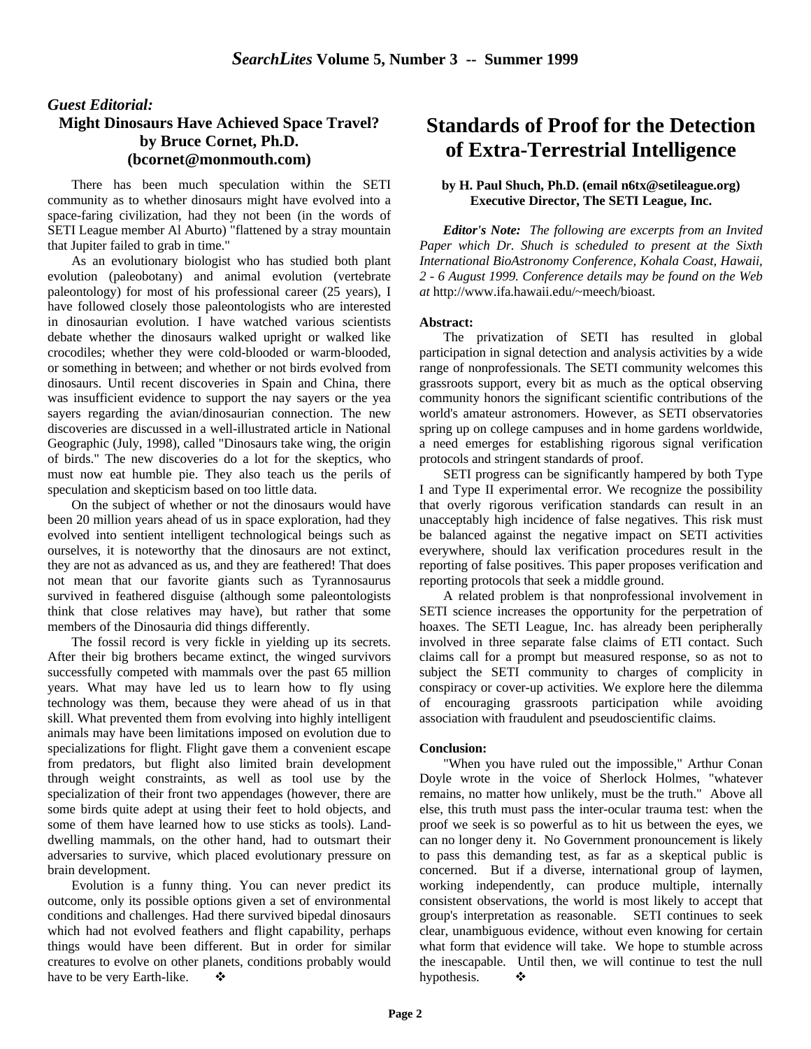## *Guest Editorial:* **Might Dinosaurs Have Achieved Space Travel? by Bruce Cornet, Ph.D. (bcornet@monmouth.com)**

There has been much speculation within the SETI community as to whether dinosaurs might have evolved into a space-faring civilization, had they not been (in the words of SETI League member Al Aburto) "flattened by a stray mountain that Jupiter failed to grab in time."

As an evolutionary biologist who has studied both plant evolution (paleobotany) and animal evolution (vertebrate paleontology) for most of his professional career (25 years), I have followed closely those paleontologists who are interested in dinosaurian evolution. I have watched various scientists debate whether the dinosaurs walked upright or walked like crocodiles; whether they were cold-blooded or warm-blooded, or something in between; and whether or not birds evolved from dinosaurs. Until recent discoveries in Spain and China, there was insufficient evidence to support the nay sayers or the yea sayers regarding the avian/dinosaurian connection. The new discoveries are discussed in a well-illustrated article in National Geographic (July, 1998), called "Dinosaurs take wing, the origin of birds." The new discoveries do a lot for the skeptics, who must now eat humble pie. They also teach us the perils of speculation and skepticism based on too little data.

On the subject of whether or not the dinosaurs would have been 20 million years ahead of us in space exploration, had they evolved into sentient intelligent technological beings such as ourselves, it is noteworthy that the dinosaurs are not extinct, they are not as advanced as us, and they are feathered! That does not mean that our favorite giants such as Tyrannosaurus survived in feathered disguise (although some paleontologists think that close relatives may have), but rather that some members of the Dinosauria did things differently.

The fossil record is very fickle in yielding up its secrets. After their big brothers became extinct, the winged survivors successfully competed with mammals over the past 65 million years. What may have led us to learn how to fly using technology was them, because they were ahead of us in that skill. What prevented them from evolving into highly intelligent animals may have been limitations imposed on evolution due to specializations for flight. Flight gave them a convenient escape from predators, but flight also limited brain development through weight constraints, as well as tool use by the specialization of their front two appendages (however, there are some birds quite adept at using their feet to hold objects, and some of them have learned how to use sticks as tools). Landdwelling mammals, on the other hand, had to outsmart their adversaries to survive, which placed evolutionary pressure on brain development.

Evolution is a funny thing. You can never predict its outcome, only its possible options given a set of environmental conditions and challenges. Had there survived bipedal dinosaurs which had not evolved feathers and flight capability, perhaps things would have been different. But in order for similar creatures to evolve on other planets, conditions probably would have to be very Earth-like.  $\bullet$ 

# **Standards of Proof for the Detection of Extra-Terrestrial Intelligence**

#### **by H. Paul Shuch, Ph.D. (email n6tx@setileague.org) Executive Director, The SETI League, Inc.**

 *Editor's Note: The following are excerpts from an Invited Paper which Dr. Shuch is scheduled to present at the Sixth International BioAstronomy Conference, Kohala Coast, Hawaii, 2 - 6 August 1999. Conference details may be found on the Web at* http://www.ifa.hawaii.edu/~meech/bioast*.*

#### **Abstract:**

The privatization of SETI has resulted in global participation in signal detection and analysis activities by a wide range of nonprofessionals. The SETI community welcomes this grassroots support, every bit as much as the optical observing community honors the significant scientific contributions of the world's amateur astronomers. However, as SETI observatories spring up on college campuses and in home gardens worldwide, a need emerges for establishing rigorous signal verification protocols and stringent standards of proof.

SETI progress can be significantly hampered by both Type I and Type II experimental error. We recognize the possibility that overly rigorous verification standards can result in an unacceptably high incidence of false negatives. This risk must be balanced against the negative impact on SETI activities everywhere, should lax verification procedures result in the reporting of false positives. This paper proposes verification and reporting protocols that seek a middle ground.

A related problem is that nonprofessional involvement in SETI science increases the opportunity for the perpetration of hoaxes. The SETI League, Inc. has already been peripherally involved in three separate false claims of ETI contact. Such claims call for a prompt but measured response, so as not to subject the SETI community to charges of complicity in conspiracy or cover-up activities. We explore here the dilemma of encouraging grassroots participation while avoiding association with fraudulent and pseudoscientific claims.

#### **Conclusion:**

"When you have ruled out the impossible," Arthur Conan Doyle wrote in the voice of Sherlock Holmes, "whatever remains, no matter how unlikely, must be the truth." Above all else, this truth must pass the inter-ocular trauma test: when the proof we seek is so powerful as to hit us between the eyes, we can no longer deny it. No Government pronouncement is likely to pass this demanding test, as far as a skeptical public is concerned. But if a diverse, international group of laymen, working independently, can produce multiple, internally consistent observations, the world is most likely to accept that group's interpretation as reasonable. SETI continues to seek clear, unambiguous evidence, without even knowing for certain what form that evidence will take. We hope to stumble across the inescapable. Until then, we will continue to test the null hypothesis.  $\bullet$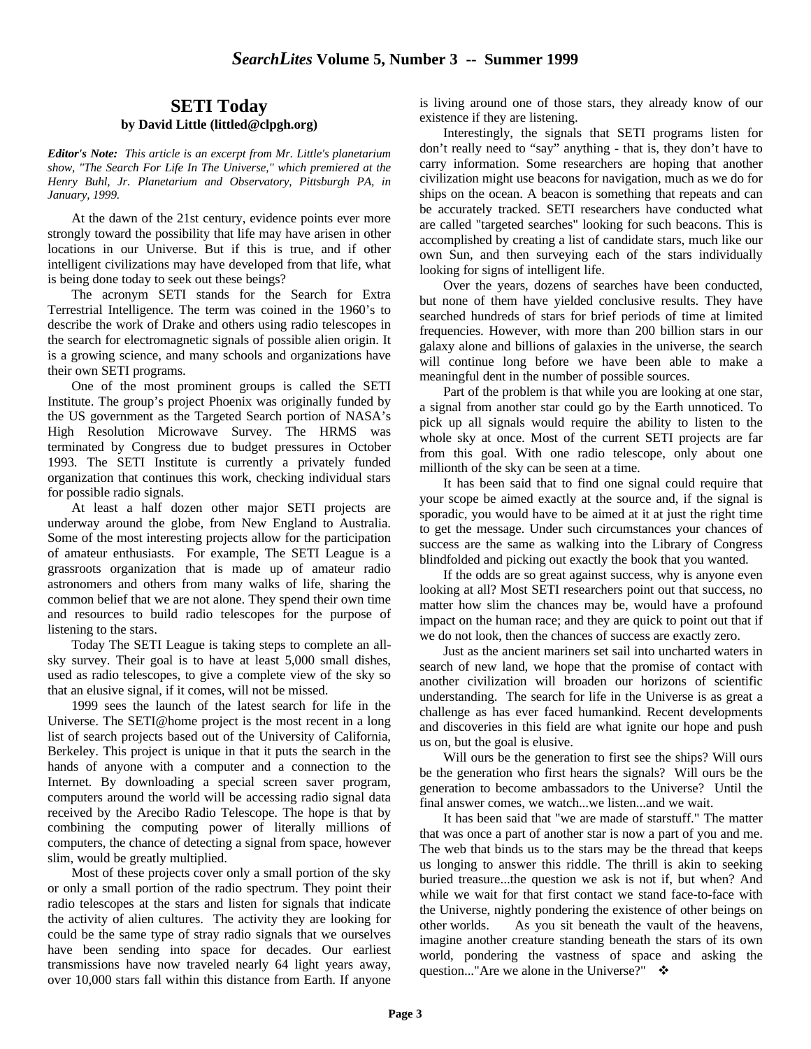### **SETI Today by David Little (littled@clpgh.org)**

*Editor's Note: This article is an excerpt from Mr. Little's planetarium show, "The Search For Life In The Universe," which premiered at the Henry Buhl, Jr. Planetarium and Observatory, Pittsburgh PA, in January, 1999.*

At the dawn of the 21st century, evidence points ever more strongly toward the possibility that life may have arisen in other locations in our Universe. But if this is true, and if other intelligent civilizations may have developed from that life, what is being done today to seek out these beings?

The acronym SETI stands for the Search for Extra Terrestrial Intelligence. The term was coined in the 1960's to describe the work of Drake and others using radio telescopes in the search for electromagnetic signals of possible alien origin. It is a growing science, and many schools and organizations have their own SETI programs.

One of the most prominent groups is called the SETI Institute. The group's project Phoenix was originally funded by the US government as the Targeted Search portion of NASA's High Resolution Microwave Survey. The HRMS was terminated by Congress due to budget pressures in October 1993. The SETI Institute is currently a privately funded organization that continues this work, checking individual stars for possible radio signals.

At least a half dozen other major SETI projects are underway around the globe, from New England to Australia. Some of the most interesting projects allow for the participation of amateur enthusiasts. For example, The SETI League is a grassroots organization that is made up of amateur radio astronomers and others from many walks of life, sharing the common belief that we are not alone. They spend their own time and resources to build radio telescopes for the purpose of listening to the stars.

Today The SETI League is taking steps to complete an allsky survey. Their goal is to have at least 5,000 small dishes, used as radio telescopes, to give a complete view of the sky so that an elusive signal, if it comes, will not be missed.

1999 sees the launch of the latest search for life in the Universe. The SETI@home project is the most recent in a long list of search projects based out of the University of California, Berkeley. This project is unique in that it puts the search in the hands of anyone with a computer and a connection to the Internet. By downloading a special screen saver program, computers around the world will be accessing radio signal data received by the Arecibo Radio Telescope. The hope is that by combining the computing power of literally millions of computers, the chance of detecting a signal from space, however slim, would be greatly multiplied.

Most of these projects cover only a small portion of the sky or only a small portion of the radio spectrum. They point their radio telescopes at the stars and listen for signals that indicate the activity of alien cultures. The activity they are looking for could be the same type of stray radio signals that we ourselves have been sending into space for decades. Our earliest transmissions have now traveled nearly 64 light years away, over 10,000 stars fall within this distance from Earth. If anyone

is living around one of those stars, they already know of our existence if they are listening.

Interestingly, the signals that SETI programs listen for don't really need to "say" anything - that is, they don't have to carry information. Some researchers are hoping that another civilization might use beacons for navigation, much as we do for ships on the ocean. A beacon is something that repeats and can be accurately tracked. SETI researchers have conducted what are called "targeted searches" looking for such beacons. This is accomplished by creating a list of candidate stars, much like our own Sun, and then surveying each of the stars individually looking for signs of intelligent life.

Over the years, dozens of searches have been conducted, but none of them have yielded conclusive results. They have searched hundreds of stars for brief periods of time at limited frequencies. However, with more than 200 billion stars in our galaxy alone and billions of galaxies in the universe, the search will continue long before we have been able to make a meaningful dent in the number of possible sources.

Part of the problem is that while you are looking at one star, a signal from another star could go by the Earth unnoticed. To pick up all signals would require the ability to listen to the whole sky at once. Most of the current SETI projects are far from this goal. With one radio telescope, only about one millionth of the sky can be seen at a time.

It has been said that to find one signal could require that your scope be aimed exactly at the source and, if the signal is sporadic, you would have to be aimed at it at just the right time to get the message. Under such circumstances your chances of success are the same as walking into the Library of Congress blindfolded and picking out exactly the book that you wanted.

If the odds are so great against success, why is anyone even looking at all? Most SETI researchers point out that success, no matter how slim the chances may be, would have a profound impact on the human race; and they are quick to point out that if we do not look, then the chances of success are exactly zero.

Just as the ancient mariners set sail into uncharted waters in search of new land, we hope that the promise of contact with another civilization will broaden our horizons of scientific understanding. The search for life in the Universe is as great a challenge as has ever faced humankind. Recent developments and discoveries in this field are what ignite our hope and push us on, but the goal is elusive.

Will ours be the generation to first see the ships? Will ours be the generation who first hears the signals? Will ours be the generation to become ambassadors to the Universe? Until the final answer comes, we watch...we listen...and we wait.

It has been said that "we are made of starstuff." The matter that was once a part of another star is now a part of you and me. The web that binds us to the stars may be the thread that keeps us longing to answer this riddle. The thrill is akin to seeking buried treasure...the question we ask is not if, but when? And while we wait for that first contact we stand face-to-face with the Universe, nightly pondering the existence of other beings on other worlds. As you sit beneath the vault of the heavens, imagine another creature standing beneath the stars of its own world, pondering the vastness of space and asking the question..."Are we alone in the Universe?"  $\cdot \cdot \cdot$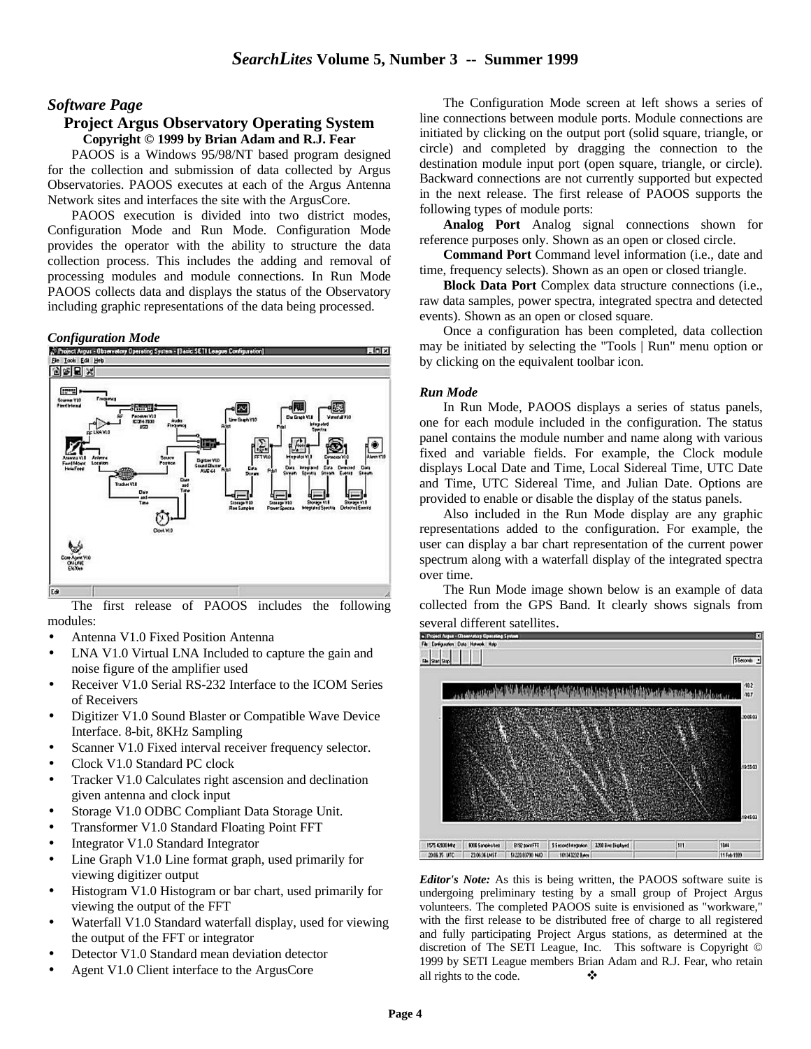### *Software Page*

#### **Project Argus Observatory Operating System Copyright © 1999 by Brian Adam and R.J. Fear**

PAOOS is a Windows 95/98/NT based program designed for the collection and submission of data collected by Argus Observatories. PAOOS executes at each of the Argus Antenna Network sites and interfaces the site with the ArgusCore.

PAOOS execution is divided into two district modes, Configuration Mode and Run Mode. Configuration Mode provides the operator with the ability to structure the data collection process. This includes the adding and removal of processing modules and module connections. In Run Mode PAOOS collects data and displays the status of the Observatory including graphic representations of the data being processed.



The first release of PAOOS includes the following modules:

- Antenna V1.0 Fixed Position Antenna
- LNA V1.0 Virtual LNA Included to capture the gain and noise figure of the amplifier used
- Receiver V1.0 Serial RS-232 Interface to the ICOM Series of Receivers
- Digitizer V1.0 Sound Blaster or Compatible Wave Device Interface. 8-bit, 8KHz Sampling
- Scanner V1.0 Fixed interval receiver frequency selector.
- Clock V1.0 Standard PC clock
- Tracker V1.0 Calculates right ascension and declination given antenna and clock input
- Storage V1.0 ODBC Compliant Data Storage Unit.
- Transformer V1.0 Standard Floating Point FFT
- Integrator V1.0 Standard Integrator
- Line Graph V1.0 Line format graph, used primarily for viewing digitizer output
- Histogram V1.0 Histogram or bar chart, used primarily for viewing the output of the FFT
- Waterfall V1.0 Standard waterfall display, used for viewing the output of the FFT or integrator
- Detector V1.0 Standard mean deviation detector
- Agent V1.0 Client interface to the ArgusCore

The Configuration Mode screen at left shows a series of line connections between module ports. Module connections are initiated by clicking on the output port (solid square, triangle, or circle) and completed by dragging the connection to the destination module input port (open square, triangle, or circle). Backward connections are not currently supported but expected in the next release. The first release of PAOOS supports the following types of module ports:

**Analog Port** Analog signal connections shown for reference purposes only. Shown as an open or closed circle.

**Command Port** Command level information (i.e., date and time, frequency selects). Shown as an open or closed triangle.

**Block Data Port** Complex data structure connections (i.e., raw data samples, power spectra, integrated spectra and detected events). Shown as an open or closed square.

Once a configuration has been completed, data collection may be initiated by selecting the "Tools | Run" menu option or by clicking on the equivalent toolbar icon.

#### *Run Mode*

In Run Mode, PAOOS displays a series of status panels, one for each module included in the configuration. The status panel contains the module number and name along with various fixed and variable fields. For example, the Clock module displays Local Date and Time, Local Sidereal Time, UTC Date and Time, UTC Sidereal Time, and Julian Date. Options are provided to enable or disable the display of the status panels.

Also included in the Run Mode display are any graphic representations added to the configuration. For example, the user can display a bar chart representation of the current power spectrum along with a waterfall display of the integrated spectra over time.

The Run Mode image shown below is an example of data collected from the GPS Band. It clearly shows signals from



*Editor's Note:* As this is being written, the PAOOS software suite is undergoing preliminary testing by a small group of Project Argus volunteers. The completed PAOOS suite is envisioned as "workware," with the first release to be distributed free of charge to all registered and fully participating Project Argus stations, as determined at the discretion of The SETI League, Inc. This software is Copyright © 1999 by SETI League members Brian Adam and R.J. Fear, who retain all rights to the code.  $\bullet$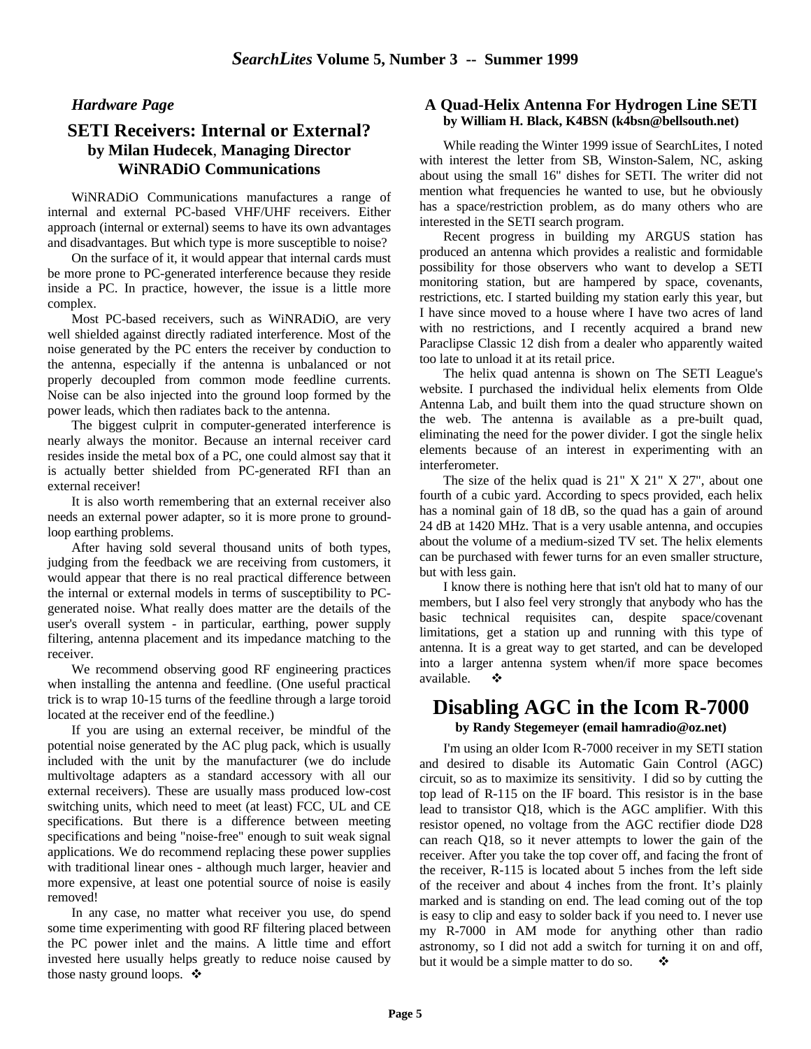*Hardware Page*

## **SETI Receivers: Internal or External? by Milan Hudecek**, **Managing Director WiNRADiO Communications**

WiNRADiO Communications manufactures a range of internal and external PC-based VHF/UHF receivers. Either approach (internal or external) seems to have its own advantages and disadvantages. But which type is more susceptible to noise?

On the surface of it, it would appear that internal cards must be more prone to PC-generated interference because they reside inside a PC. In practice, however, the issue is a little more complex.

Most PC-based receivers, such as WiNRADiO, are very well shielded against directly radiated interference. Most of the noise generated by the PC enters the receiver by conduction to the antenna, especially if the antenna is unbalanced or not properly decoupled from common mode feedline currents. Noise can be also injected into the ground loop formed by the power leads, which then radiates back to the antenna.

The biggest culprit in computer-generated interference is nearly always the monitor. Because an internal receiver card resides inside the metal box of a PC, one could almost say that it is actually better shielded from PC-generated RFI than an external receiver!

It is also worth remembering that an external receiver also needs an external power adapter, so it is more prone to groundloop earthing problems.

After having sold several thousand units of both types, judging from the feedback we are receiving from customers, it would appear that there is no real practical difference between the internal or external models in terms of susceptibility to PCgenerated noise. What really does matter are the details of the user's overall system - in particular, earthing, power supply filtering, antenna placement and its impedance matching to the receiver.

We recommend observing good RF engineering practices when installing the antenna and feedline. (One useful practical trick is to wrap 10-15 turns of the feedline through a large toroid located at the receiver end of the feedline.)

If you are using an external receiver, be mindful of the potential noise generated by the AC plug pack, which is usually included with the unit by the manufacturer (we do include multivoltage adapters as a standard accessory with all our external receivers). These are usually mass produced low-cost switching units, which need to meet (at least) FCC, UL and CE specifications. But there is a difference between meeting specifications and being "noise-free" enough to suit weak signal applications. We do recommend replacing these power supplies with traditional linear ones - although much larger, heavier and more expensive, at least one potential source of noise is easily removed!

In any case, no matter what receiver you use, do spend some time experimenting with good RF filtering placed between the PC power inlet and the mains. A little time and effort invested here usually helps greatly to reduce noise caused by those nasty ground loops.  $\mathbf{\hat{P}}$ 

#### **A Quad-Helix Antenna For Hydrogen Line SETI by William H. Black, K4BSN (k4bsn@bellsouth.net)**

While reading the Winter 1999 issue of SearchLites, I noted with interest the letter from SB, Winston-Salem, NC, asking about using the small 16" dishes for SETI. The writer did not mention what frequencies he wanted to use, but he obviously has a space/restriction problem, as do many others who are interested in the SETI search program.

Recent progress in building my ARGUS station has produced an antenna which provides a realistic and formidable possibility for those observers who want to develop a SETI monitoring station, but are hampered by space, covenants, restrictions, etc. I started building my station early this year, but I have since moved to a house where I have two acres of land with no restrictions, and I recently acquired a brand new Paraclipse Classic 12 dish from a dealer who apparently waited too late to unload it at its retail price.

The helix quad antenna is shown on The SETI League's website. I purchased the individual helix elements from Olde Antenna Lab, and built them into the quad structure shown on the web. The antenna is available as a pre-built quad, eliminating the need for the power divider. I got the single helix elements because of an interest in experimenting with an interferometer.

The size of the helix quad is  $21" X 21" X 27"$ , about one fourth of a cubic yard. According to specs provided, each helix has a nominal gain of 18 dB, so the quad has a gain of around 24 dB at 1420 MHz. That is a very usable antenna, and occupies about the volume of a medium-sized TV set. The helix elements can be purchased with fewer turns for an even smaller structure, but with less gain.

I know there is nothing here that isn't old hat to many of our members, but I also feel very strongly that anybody who has the basic technical requisites can, despite space/covenant limitations, get a station up and running with this type of antenna. It is a great way to get started, and can be developed into a larger antenna system when/if more space becomes available.

# **Disabling AGC in the Icom R-7000**

**by Randy Stegemeyer (email hamradio@oz.net)**

I'm using an older Icom R-7000 receiver in my SETI station and desired to disable its Automatic Gain Control (AGC) circuit, so as to maximize its sensitivity. I did so by cutting the top lead of R-115 on the IF board. This resistor is in the base lead to transistor Q18, which is the AGC amplifier. With this resistor opened, no voltage from the AGC rectifier diode D28 can reach Q18, so it never attempts to lower the gain of the receiver. After you take the top cover off, and facing the front of the receiver, R-115 is located about 5 inches from the left side of the receiver and about 4 inches from the front. It's plainly marked and is standing on end. The lead coming out of the top is easy to clip and easy to solder back if you need to. I never use my R-7000 in AM mode for anything other than radio astronomy, so I did not add a switch for turning it on and off, but it would be a simple matter to do so.  $\bullet$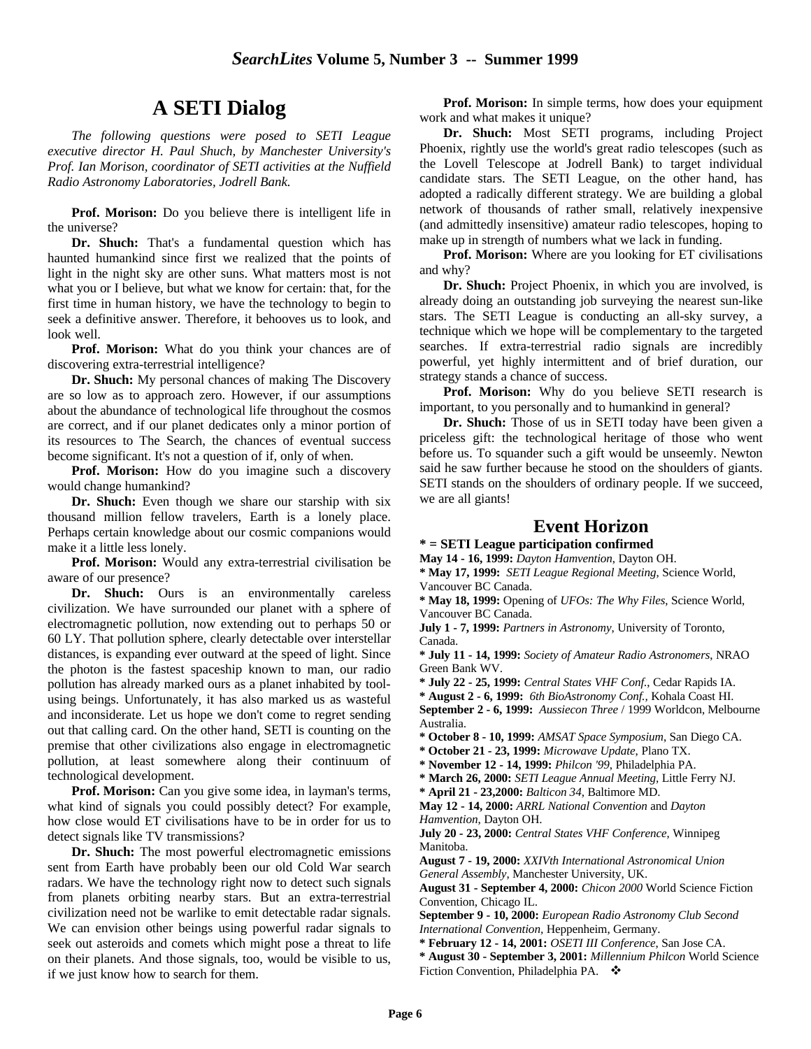## **A SETI Dialog**

*The following questions were posed to SETI League executive director H. Paul Shuch, by Manchester University's Prof. Ian Morison, coordinator of SETI activities at the Nuffield Radio Astronomy Laboratories, Jodrell Bank.*

**Prof. Morison:** Do you believe there is intelligent life in the universe?

**Dr. Shuch:** That's a fundamental question which has haunted humankind since first we realized that the points of light in the night sky are other suns. What matters most is not what you or I believe, but what we know for certain: that, for the first time in human history, we have the technology to begin to seek a definitive answer. Therefore, it behooves us to look, and look well.

**Prof. Morison:** What do you think your chances are of discovering extra-terrestrial intelligence?

**Dr. Shuch:** My personal chances of making The Discovery are so low as to approach zero. However, if our assumptions about the abundance of technological life throughout the cosmos are correct, and if our planet dedicates only a minor portion of its resources to The Search, the chances of eventual success become significant. It's not a question of if, only of when.

**Prof. Morison:** How do you imagine such a discovery would change humankind?

**Dr. Shuch:** Even though we share our starship with six thousand million fellow travelers, Earth is a lonely place. Perhaps certain knowledge about our cosmic companions would make it a little less lonely.

**Prof. Morison:** Would any extra-terrestrial civilisation be aware of our presence?

Dr. Shuch: Ours is an environmentally careless civilization. We have surrounded our planet with a sphere of electromagnetic pollution, now extending out to perhaps 50 or 60 LY. That pollution sphere, clearly detectable over interstellar distances, is expanding ever outward at the speed of light. Since the photon is the fastest spaceship known to man, our radio pollution has already marked ours as a planet inhabited by toolusing beings. Unfortunately, it has also marked us as wasteful and inconsiderate. Let us hope we don't come to regret sending out that calling card. On the other hand, SETI is counting on the premise that other civilizations also engage in electromagnetic pollution, at least somewhere along their continuum of technological development.

**Prof. Morison:** Can you give some idea, in layman's terms, what kind of signals you could possibly detect? For example, how close would ET civilisations have to be in order for us to detect signals like TV transmissions?

**Dr. Shuch:** The most powerful electromagnetic emissions sent from Earth have probably been our old Cold War search radars. We have the technology right now to detect such signals from planets orbiting nearby stars. But an extra-terrestrial civilization need not be warlike to emit detectable radar signals. We can envision other beings using powerful radar signals to seek out asteroids and comets which might pose a threat to life on their planets. And those signals, too, would be visible to us, if we just know how to search for them.

**Prof. Morison:** In simple terms, how does your equipment work and what makes it unique?

**Dr. Shuch:** Most SETI programs, including Project Phoenix, rightly use the world's great radio telescopes (such as the Lovell Telescope at Jodrell Bank) to target individual candidate stars. The SETI League, on the other hand, has adopted a radically different strategy. We are building a global network of thousands of rather small, relatively inexpensive (and admittedly insensitive) amateur radio telescopes, hoping to make up in strength of numbers what we lack in funding.

**Prof. Morison:** Where are you looking for ET civilisations and why?

**Dr. Shuch:** Project Phoenix, in which you are involved, is already doing an outstanding job surveying the nearest sun-like stars. The SETI League is conducting an all-sky survey, a technique which we hope will be complementary to the targeted searches. If extra-terrestrial radio signals are incredibly powerful, yet highly intermittent and of brief duration, our strategy stands a chance of success.

**Prof. Morison:** Why do you believe SETI research is important, to you personally and to humankind in general?

**Dr. Shuch:** Those of us in SETI today have been given a priceless gift: the technological heritage of those who went before us. To squander such a gift would be unseemly. Newton said he saw further because he stood on the shoulders of giants. SETI stands on the shoulders of ordinary people. If we succeed, we are all giants!

### **Event Horizon**

**\* = SETI League participation confirmed**

**May 14 - 16, 1999:** *Dayton Hamvention*, Dayton OH.

**\* May 17, 1999:** *SETI League Regional Meeting*, Science World, Vancouver BC Canada.

**\* May 18, 1999:** Opening of *UFOs: The Why Files*, Science World, Vancouver BC Canada.

**July 1 - 7, 1999:** *Partners in Astronomy*, University of Toronto, Canada.

**\* July 11 - 14, 1999:** *Society of Amateur Radio Astronomers*, NRAO Green Bank WV.

**\* July 22 - 25, 1999:** *Central States VHF Conf.*, Cedar Rapids IA.

**\* August 2 - 6, 1999:** *6th BioAstronomy Conf.,* Kohala Coast HI.

**September 2 - 6, 1999:** *Aussiecon Three* / 1999 Worldcon, Melbourne Australia.

**\* October 8 - 10, 1999:** *AMSAT Space Symposium*, San Diego CA.

**\* October 21 - 23, 1999:** *Microwave Update*, Plano TX.

**\* November 12 - 14, 1999:** *Philcon '99*, Philadelphia PA.

**\* March 26, 2000:** *SETI League Annual Meeting,* Little Ferry NJ.

**\* April 21 - 23,2000:** *Balticon 34*, Baltimore MD.

**May 12 - 14, 2000:** *ARRL National Convention* and *Dayton Hamvention*, Dayton OH.

**July 20 - 23, 2000:** *Central States VHF Conference*, Winnipeg Manitoba.

**August 7 - 19, 2000:** *XXIVth International Astronomical Union General Assembly*, Manchester University, UK.

**August 31 - September 4, 2000:** *Chicon 2000* World Science Fiction Convention, Chicago IL.

**September 9 - 10, 2000:** *European Radio Astronomy Club Second International Convention,* Heppenheim, Germany.

**\* February 12 - 14, 2001:** *OSETI III Conference*, San Jose CA.

**\* August 30 - September 3, 2001:** *Millennium Philcon* World Science Fiction Convention, Philadelphia PA.  $\Phi$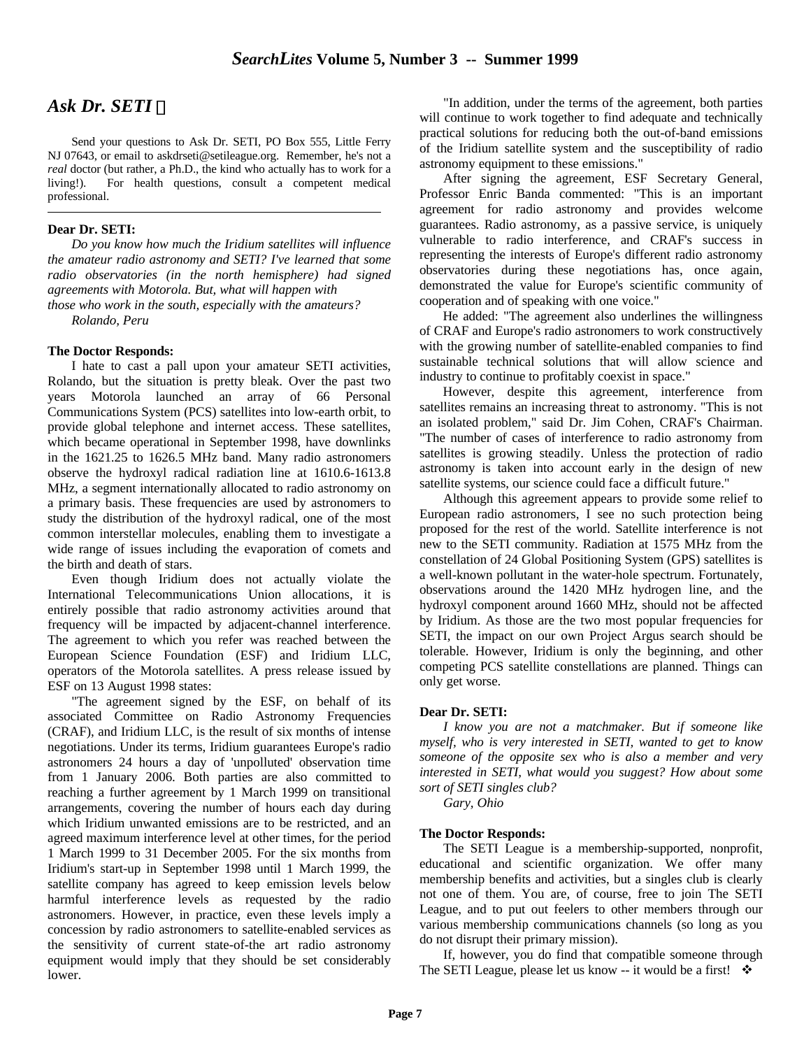## *Ask Dr. SETI*

Send your questions to Ask Dr. SETI, PO Box 555, Little Ferry NJ 07643, or email to askdrseti@setileague.org. Remember, he's not a *real* doctor (but rather, a Ph.D., the kind who actually has to work for a living!). For health questions, consult a competent medical professional.

#### **Dear Dr. SETI:**

 $\overline{a}$ 

*Do you know how much the Iridium satellites will influence the amateur radio astronomy and SETI? I've learned that some radio observatories (in the north hemisphere) had signed agreements with Motorola. But, what will happen with those who work in the south, especially with the amateurs?*

*Rolando, Peru*

#### **The Doctor Responds:**

I hate to cast a pall upon your amateur SETI activities, Rolando, but the situation is pretty bleak. Over the past two years Motorola launched an array of 66 Personal Communications System (PCS) satellites into low-earth orbit, to provide global telephone and internet access. These satellites, which became operational in September 1998, have downlinks in the 1621.25 to 1626.5 MHz band. Many radio astronomers observe the hydroxyl radical radiation line at 1610.6-1613.8 MHz, a segment internationally allocated to radio astronomy on a primary basis. These frequencies are used by astronomers to study the distribution of the hydroxyl radical, one of the most common interstellar molecules, enabling them to investigate a wide range of issues including the evaporation of comets and the birth and death of stars.

Even though Iridium does not actually violate the International Telecommunications Union allocations, it is entirely possible that radio astronomy activities around that frequency will be impacted by adjacent-channel interference. The agreement to which you refer was reached between the European Science Foundation (ESF) and Iridium LLC, operators of the Motorola satellites. A press release issued by ESF on 13 August 1998 states:

"The agreement signed by the ESF, on behalf of its associated Committee on Radio Astronomy Frequencies (CRAF), and Iridium LLC, is the result of six months of intense negotiations. Under its terms, Iridium guarantees Europe's radio astronomers 24 hours a day of 'unpolluted' observation time from 1 January 2006. Both parties are also committed to reaching a further agreement by 1 March 1999 on transitional arrangements, covering the number of hours each day during which Iridium unwanted emissions are to be restricted, and an agreed maximum interference level at other times, for the period 1 March 1999 to 31 December 2005. For the six months from Iridium's start-up in September 1998 until 1 March 1999, the satellite company has agreed to keep emission levels below harmful interference levels as requested by the radio astronomers. However, in practice, even these levels imply a concession by radio astronomers to satellite-enabled services as the sensitivity of current state-of-the art radio astronomy equipment would imply that they should be set considerably lower.

"In addition, under the terms of the agreement, both parties will continue to work together to find adequate and technically practical solutions for reducing both the out-of-band emissions of the Iridium satellite system and the susceptibility of radio astronomy equipment to these emissions."

After signing the agreement, ESF Secretary General, Professor Enric Banda commented: "This is an important agreement for radio astronomy and provides welcome guarantees. Radio astronomy, as a passive service, is uniquely vulnerable to radio interference, and CRAF's success in representing the interests of Europe's different radio astronomy observatories during these negotiations has, once again, demonstrated the value for Europe's scientific community of cooperation and of speaking with one voice."

 He added: "The agreement also underlines the willingness of CRAF and Europe's radio astronomers to work constructively with the growing number of satellite-enabled companies to find sustainable technical solutions that will allow science and industry to continue to profitably coexist in space."

 However, despite this agreement, interference from satellites remains an increasing threat to astronomy. "This is not an isolated problem," said Dr. Jim Cohen, CRAF's Chairman. "The number of cases of interference to radio astronomy from satellites is growing steadily. Unless the protection of radio astronomy is taken into account early in the design of new satellite systems, our science could face a difficult future."

Although this agreement appears to provide some relief to European radio astronomers, I see no such protection being proposed for the rest of the world. Satellite interference is not new to the SETI community. Radiation at 1575 MHz from the constellation of 24 Global Positioning System (GPS) satellites is a well-known pollutant in the water-hole spectrum. Fortunately, observations around the 1420 MHz hydrogen line, and the hydroxyl component around 1660 MHz, should not be affected by Iridium. As those are the two most popular frequencies for SETI, the impact on our own Project Argus search should be tolerable. However, Iridium is only the beginning, and other competing PCS satellite constellations are planned. Things can only get worse.

#### **Dear Dr. SETI:**

*I know you are not a matchmaker. But if someone like myself, who is very interested in SETI, wanted to get to know someone of the opposite sex who is also a member and very interested in SETI, what would you suggest? How about some sort of SETI singles club?*

*Gary, Ohio*

#### **The Doctor Responds:**

The SETI League is a membership-supported, nonprofit, educational and scientific organization. We offer many membership benefits and activities, but a singles club is clearly not one of them. You are, of course, free to join The SETI League, and to put out feelers to other members through our various membership communications channels (so long as you do not disrupt their primary mission).

If, however, you do find that compatible someone through The SETI League, please let us know -- it would be a first!  $\cdot$